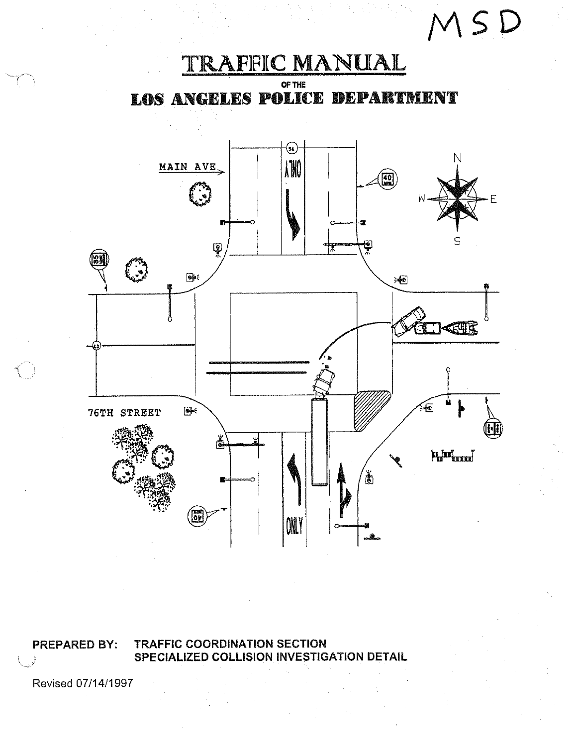

ISD

#### **TRAFFIC COORDINATION SECTION PREPARED BY:** SPECIALIZED COLLISION INVESTIGATION DETAIL

Revised 07/14/1997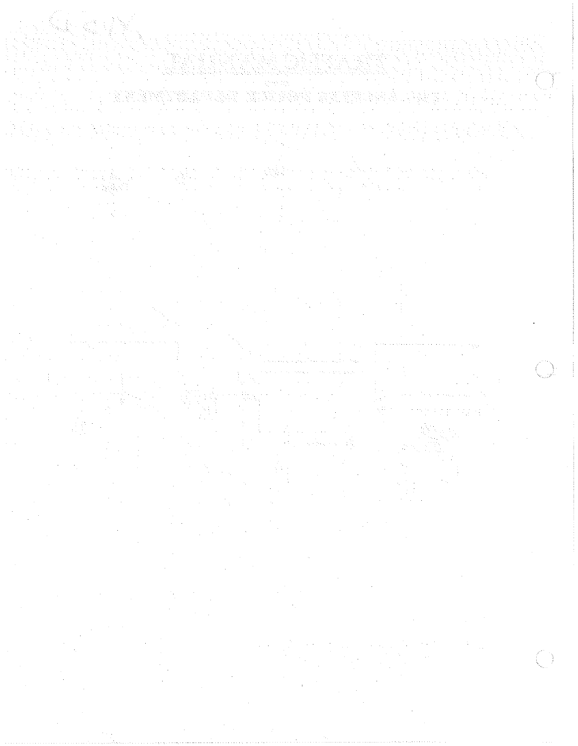a ng pangalawang pang

O)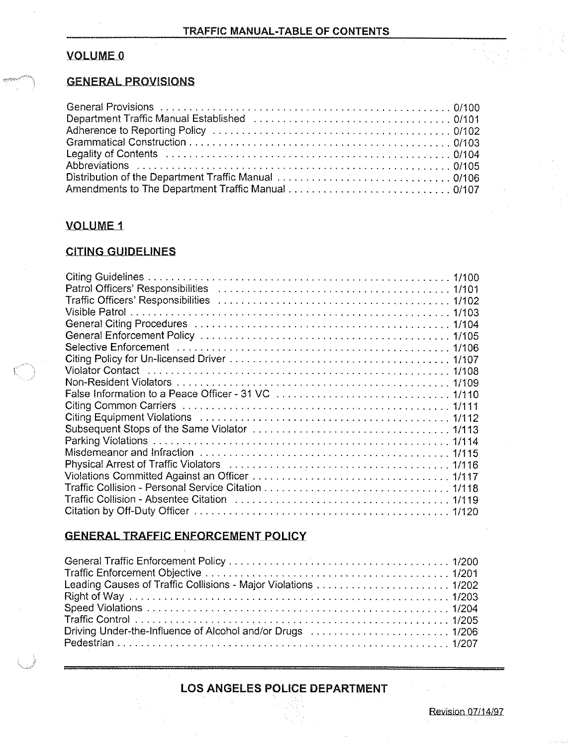#### **VOLUME 0**

#### **GENERAL PROVISIONS**

| Distribution of the Department Traffic Manual 0/106 |  |
|-----------------------------------------------------|--|
|                                                     |  |

# **VOLUME 1**

#### **CITING GUIDELINES**

# **GENERAL TRAFFIC ENFORCEMENT POLICY**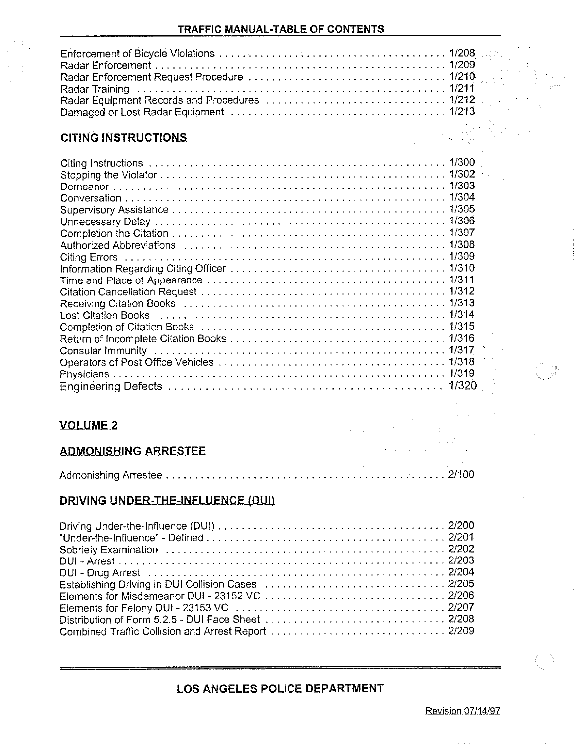# CITING INSTRUCTIONS

### **VOLUME 2**

#### **ADMONISHING ARRESTEE**

# DRIVING UNDER-THE-INFLUENCE (DUI)

| Establishing Driving in DUI Collision Cases (and the context of the context of 2/205) |  |
|---------------------------------------------------------------------------------------|--|
|                                                                                       |  |
|                                                                                       |  |
|                                                                                       |  |
|                                                                                       |  |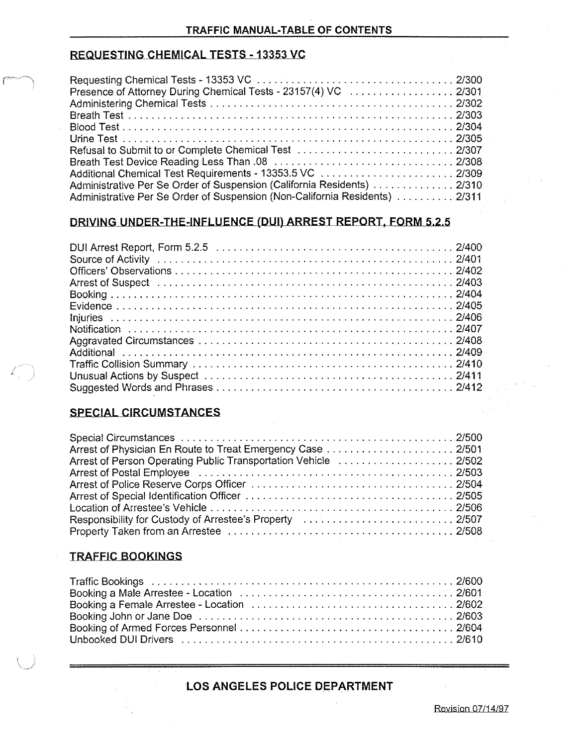#### **REQUESTING CHEMICAL TESTS - 13353 VC**

| Presence of Attorney During Chemical Tests - 23157(4) VC  2/301             |  |
|-----------------------------------------------------------------------------|--|
|                                                                             |  |
|                                                                             |  |
|                                                                             |  |
|                                                                             |  |
|                                                                             |  |
|                                                                             |  |
|                                                                             |  |
| Administrative Per Se Order of Suspension (California Residents)  2/310     |  |
| Administrative Per Se Order of Suspension (Non-California Residents)  2/311 |  |
|                                                                             |  |

# DRIVING UNDER-THE-INFLUENCE (DUI) ARREST REPORT, FORM 5.2.5

|                                    | Source of Activity et respectively respectively and the source of Activity respectively. |  |
|------------------------------------|------------------------------------------------------------------------------------------|--|
|                                    |                                                                                          |  |
|                                    |                                                                                          |  |
|                                    |                                                                                          |  |
|                                    |                                                                                          |  |
|                                    |                                                                                          |  |
|                                    |                                                                                          |  |
|                                    |                                                                                          |  |
|                                    |                                                                                          |  |
|                                    |                                                                                          |  |
| $\mathbb{Z}^{\mathbb{Z}^{\infty}}$ |                                                                                          |  |
|                                    |                                                                                          |  |
|                                    |                                                                                          |  |

# SPECIAL CIRCUMSTANCES

| Arrest of Postal Employee (and account to the contract of Postal Employee (b) and the contract of the contract $2/503$ |  |
|------------------------------------------------------------------------------------------------------------------------|--|
|                                                                                                                        |  |
|                                                                                                                        |  |
|                                                                                                                        |  |
| Responsibility for Custody of Arrestee's Property (and accommodation of 2/507)                                         |  |
|                                                                                                                        |  |

#### TRAFFIC BOOKINGS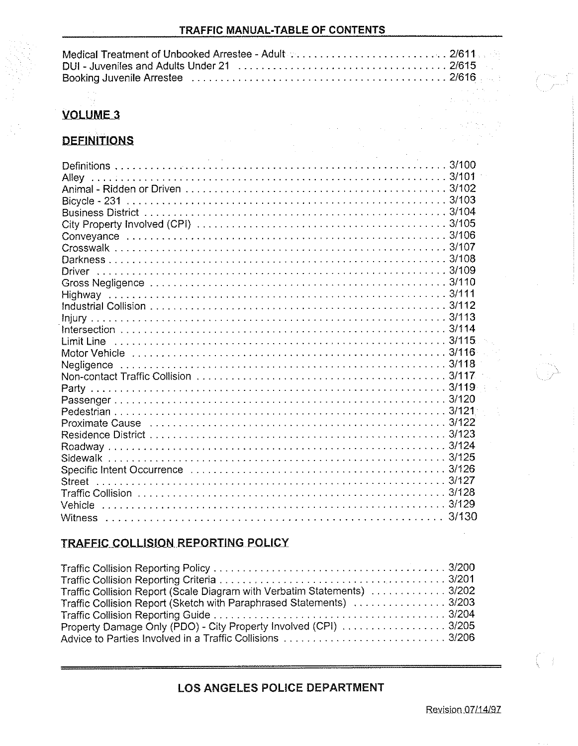| Booking Juvenile Arrestee (and account of the contract of the contract of the state of the state of the state of the state of the state of the state of the state of the state of the state of the state of the state of the s |  |
|--------------------------------------------------------------------------------------------------------------------------------------------------------------------------------------------------------------------------------|--|

# **VOLUME 3**

# **DEFINITIONS**

| <b>Street</b> |  |
|---------------|--|
|               |  |
| Vehicle       |  |
|               |  |
|               |  |

# TRAFFIC COLLISION REPORTING POLICY

| Traffic Collision Report (Scale Diagram with Verbatim Statements) 3/202 |  |
|-------------------------------------------------------------------------|--|
| Traffic Collision Report (Sketch with Paraphrased Statements) 3/203     |  |
|                                                                         |  |
| Property Damage Only (PDO) - City Property Involved (CPI) 3/205         |  |
|                                                                         |  |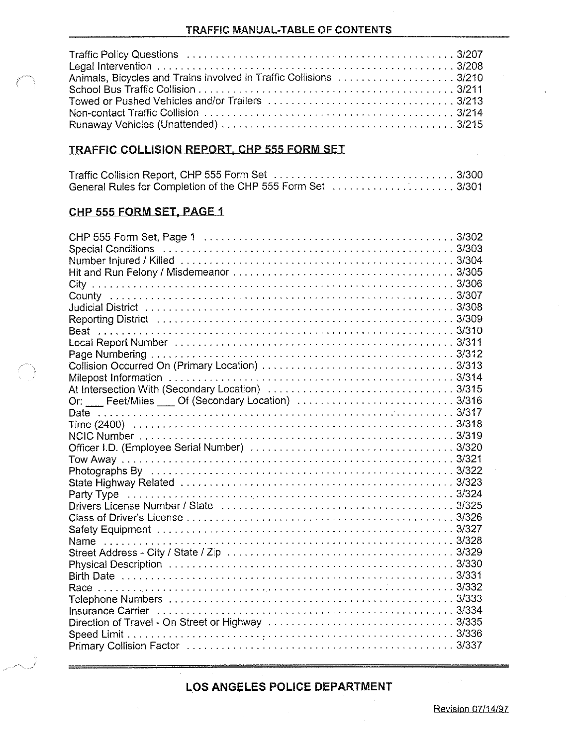| Animals, Bicycles and Trains involved in Traffic Collisions 3/210 |  |
|-------------------------------------------------------------------|--|
|                                                                   |  |
|                                                                   |  |
|                                                                   |  |
|                                                                   |  |

#### TRAFFIC COLLISION REPORT, CHP 555 FORM SET

| General Rules for Completion of the CHP 555 Form Set 3/301 |  |
|------------------------------------------------------------|--|

#### CHP 555 FORM SET, PAGE 1

| Special Conditions (and according to the control of the condition of the set of the conditions of the set of the set of the set of the set of the set of the set of the set of the set of the set of the set of the set of the |
|--------------------------------------------------------------------------------------------------------------------------------------------------------------------------------------------------------------------------------|
|                                                                                                                                                                                                                                |
|                                                                                                                                                                                                                                |
|                                                                                                                                                                                                                                |
|                                                                                                                                                                                                                                |
| Judicial District (all contacts) and all contacts are set of the contact of the contact of the contact of the                                                                                                                  |
|                                                                                                                                                                                                                                |
|                                                                                                                                                                                                                                |
|                                                                                                                                                                                                                                |
|                                                                                                                                                                                                                                |
|                                                                                                                                                                                                                                |
|                                                                                                                                                                                                                                |
|                                                                                                                                                                                                                                |
|                                                                                                                                                                                                                                |
|                                                                                                                                                                                                                                |
|                                                                                                                                                                                                                                |
|                                                                                                                                                                                                                                |
|                                                                                                                                                                                                                                |
|                                                                                                                                                                                                                                |
|                                                                                                                                                                                                                                |
|                                                                                                                                                                                                                                |
|                                                                                                                                                                                                                                |
|                                                                                                                                                                                                                                |
|                                                                                                                                                                                                                                |
|                                                                                                                                                                                                                                |
|                                                                                                                                                                                                                                |
|                                                                                                                                                                                                                                |
|                                                                                                                                                                                                                                |
|                                                                                                                                                                                                                                |
|                                                                                                                                                                                                                                |
|                                                                                                                                                                                                                                |
|                                                                                                                                                                                                                                |
|                                                                                                                                                                                                                                |
|                                                                                                                                                                                                                                |
|                                                                                                                                                                                                                                |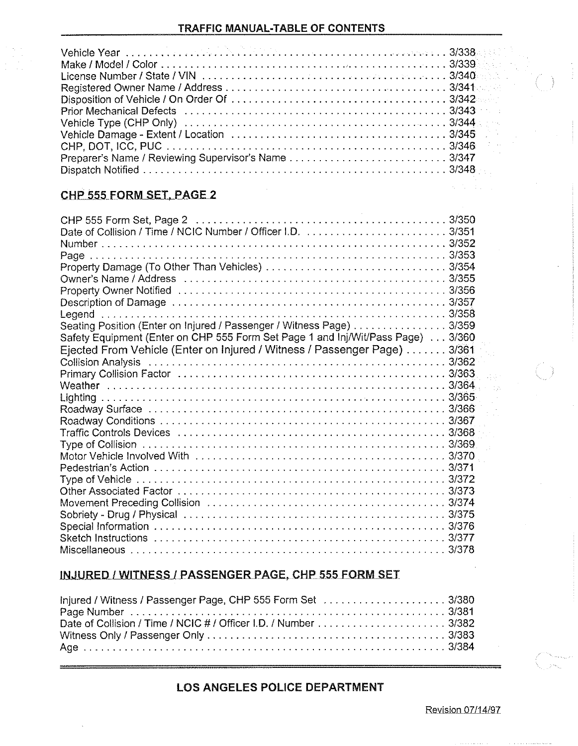| Prior Mechanical Defects (and the context of the context of the context of the context of the context of the c |  |
|----------------------------------------------------------------------------------------------------------------|--|
|                                                                                                                |  |
|                                                                                                                |  |
|                                                                                                                |  |
|                                                                                                                |  |
|                                                                                                                |  |

# CHP 555 FORM SET, PAGE 2

| Property Owner Notified et al., et al., et al., et al., et al., et al., et al., et al., et al., et al., et al.                                                                                                                |       |
|-------------------------------------------------------------------------------------------------------------------------------------------------------------------------------------------------------------------------------|-------|
|                                                                                                                                                                                                                               |       |
|                                                                                                                                                                                                                               |       |
| Seating Position (Enter on Injured / Passenger / Witness Page) 3/359                                                                                                                                                          |       |
| Safety Equipment (Enter on CHP 555 Form Set Page 1 and Inj/Wit/Pass Page) 3/360                                                                                                                                               |       |
| Ejected From Vehicle (Enter on Injured / Witness / Passenger Page)                                                                                                                                                            | 3/361 |
| Collision Analysis (and all and all analysis) and all and all and all and all analysis (and all and all analysis (and all all and all all and all all and all all and all all and all all and all all all all all all all all |       |
|                                                                                                                                                                                                                               |       |
|                                                                                                                                                                                                                               |       |
|                                                                                                                                                                                                                               |       |
|                                                                                                                                                                                                                               |       |
|                                                                                                                                                                                                                               |       |
|                                                                                                                                                                                                                               |       |
|                                                                                                                                                                                                                               |       |
|                                                                                                                                                                                                                               |       |
|                                                                                                                                                                                                                               |       |
|                                                                                                                                                                                                                               |       |
|                                                                                                                                                                                                                               |       |
|                                                                                                                                                                                                                               |       |
|                                                                                                                                                                                                                               |       |
|                                                                                                                                                                                                                               |       |
|                                                                                                                                                                                                                               |       |
|                                                                                                                                                                                                                               |       |

#### INJURED / WITNESS / PASSENGER PAGE, CHP 555 FORM SET

| Injured / Witness / Passenger Page, CHP 555 Form Set 3/380 |  |
|------------------------------------------------------------|--|
|                                                            |  |
|                                                            |  |
|                                                            |  |
|                                                            |  |

# LOS ANGELES POLICE DEPARTMENT

Revision 07/14/97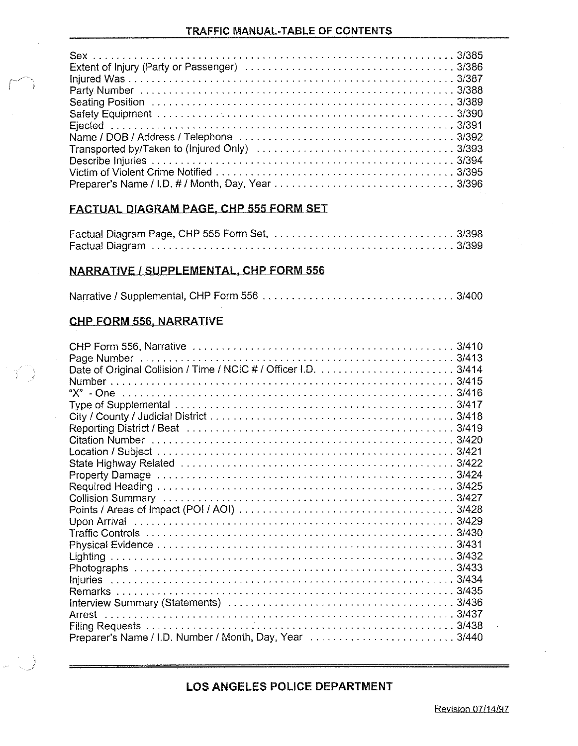#### FACTUAL DIAGRAM PAGE, CHP 555 FORM SET

#### NARRATIVE / SUPPLEMENTAL, CHP FORM 556

|--|--|--|--|

#### CHP FORM 556, NARRATIVE

| Preparer's Name / I.D. Number / Month, Day, Year 3/440 |  |
|--------------------------------------------------------|--|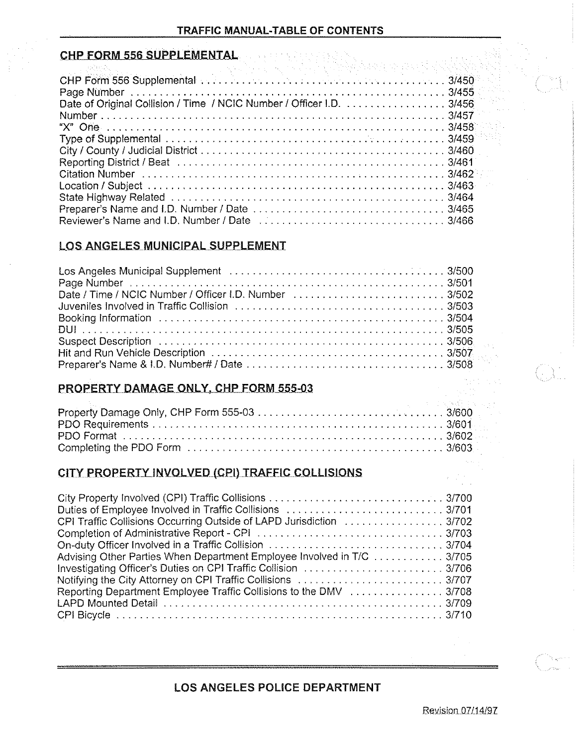#### CHP FORM 556 SUPPLEMENTAL **AND THE FORM 556**

| <b>CHP Form 556 Supplemental Williams (2008)</b>                     |  |  |
|----------------------------------------------------------------------|--|--|
|                                                                      |  |  |
| Date of Original Collision / Time / NCIC Number / Officer I.D. 3/456 |  |  |
|                                                                      |  |  |
|                                                                      |  |  |
|                                                                      |  |  |
|                                                                      |  |  |
|                                                                      |  |  |
|                                                                      |  |  |
|                                                                      |  |  |
|                                                                      |  |  |
|                                                                      |  |  |
|                                                                      |  |  |

#### LOS ANGELES MUNICIPAL SUPPLEMENT

| Date / Time / NCIC Number / Officer I.D. Number 3/502 |  |  |
|-------------------------------------------------------|--|--|
|                                                       |  |  |
|                                                       |  |  |
|                                                       |  |  |
|                                                       |  |  |
|                                                       |  |  |
|                                                       |  |  |

#### PROPERTY DAMAGE ONLY, CHP FORM 555-03

| 1000 Hotel Hotel Hotel Hotel Hotel Hotel 사용 사용 수 있습니다.<br>2001년 - 대한민국의 대한민국의 대한민국의 대한민국의 대한민국의 대한민국의 대한민국의 대한민국의 대한민국의 대한민국의 대한민국의 대한민국의 대한민국의 대한민국의 대한민국의 대한민국의 대한민국의 |  |
|-------------------------------------------------------------------------------------------------------------------------------------------------------------------------|--|
|                                                                                                                                                                         |  |
|                                                                                                                                                                         |  |
|                                                                                                                                                                         |  |

#### CITY PROPERTY INVOLVED (CPI) TRAFFIC COLLISIONS

| Duties of Employee Involved in Traffic Collisions 3/701               |  |
|-----------------------------------------------------------------------|--|
| CPI Traffic Collisions Occurring Outside of LAPD Jurisdiction 3/702   |  |
|                                                                       |  |
|                                                                       |  |
| Advising Other Parties When Department Employee Involved in T/C 3/705 |  |
| Investigating Officer's Duties on CPI Traffic Collision 3/706         |  |
| Notifying the City Attorney on CPI Traffic Collisions 3/707           |  |
| Reporting Department Employee Traffic Collisions to the DMV 3/708     |  |
|                                                                       |  |
|                                                                       |  |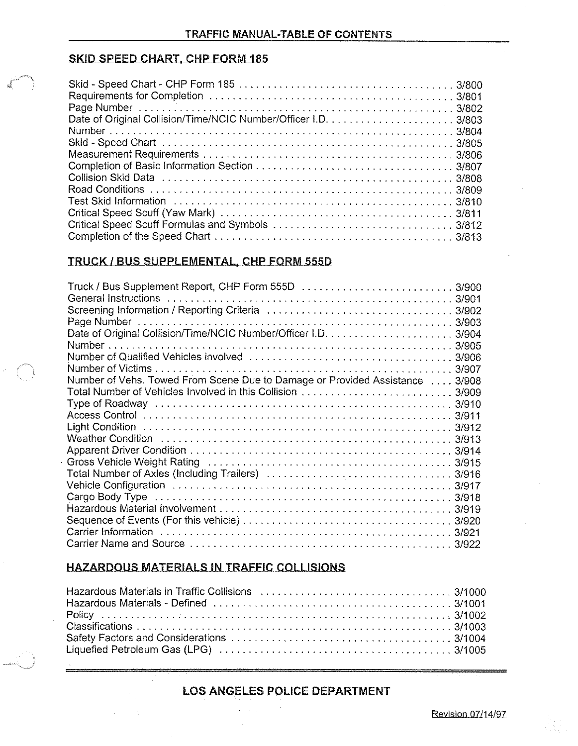#### SKID SPEED CHART, CHP FORM 185

| $\mathcal{L} \rightarrow$ |  |
|---------------------------|--|
|                           |  |
|                           |  |
|                           |  |
|                           |  |
|                           |  |
|                           |  |
|                           |  |
|                           |  |
|                           |  |
|                           |  |
|                           |  |
|                           |  |
|                           |  |
|                           |  |

#### TRUCK / BUS SUPPLEMENTAL, CHP FORM 555D

# HAZARDOUS MATERIALS IN TRAFFIC COLLISIONS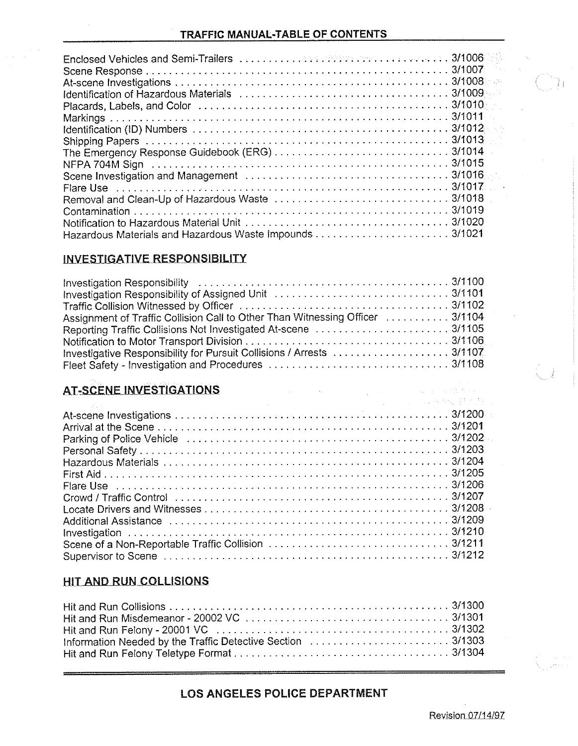#### **INVESTIGATIVE RESPONSIBILITY**

| Assignment of Traffic Collision Call to Other Than Witnessing Officer  3/1104 |  |
|-------------------------------------------------------------------------------|--|
| Reporting Traffic Collisions Not Investigated At-scene 3/1105                 |  |
|                                                                               |  |
| Investigative Responsibility for Pursuit Collisions / Arrests 3/1107.         |  |
|                                                                               |  |

#### **AT-SCENE INVESTIGATIONS**

| 1000 Andrews Andrews Andrews Andrews Andrews Andrews Andrews Andrews Andrews Andrews Andrews Andrews Andrews A |  |
|----------------------------------------------------------------------------------------------------------------|--|
|                                                                                                                |  |
|                                                                                                                |  |
|                                                                                                                |  |
|                                                                                                                |  |
|                                                                                                                |  |
|                                                                                                                |  |
|                                                                                                                |  |
|                                                                                                                |  |
|                                                                                                                |  |
|                                                                                                                |  |
|                                                                                                                |  |
|                                                                                                                |  |
|                                                                                                                |  |

#### **HIT AND RUN COLLISIONS**

ÿ.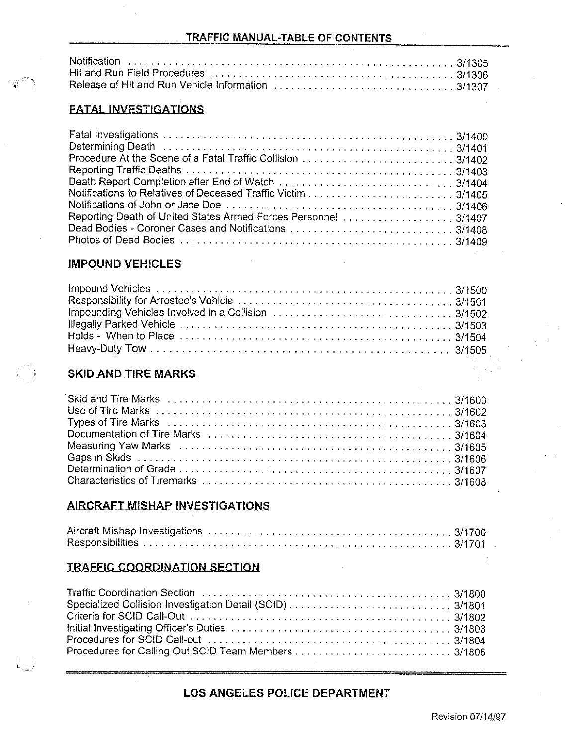|               | TRAFFIC MANUAL-TABLE OF CONTENTS |
|---------------|----------------------------------|
| $\mathcal{L}$ |                                  |
|               |                                  |

#### IMPOUND VEHICLES

#### SKID AND TIRE MARKS

#### **AIRCRAFT MISHAP INVESTIGATIONS**

#### **TRAFFIC COORDINATION SECTION**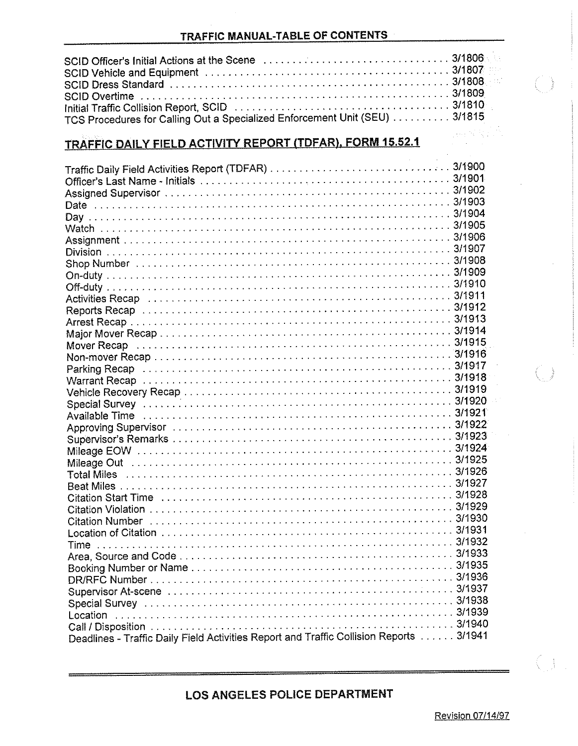| TCS Procedures for Calling Out a Specialized Enforcement Unit (SEU) 3/1815 |  |
|----------------------------------------------------------------------------|--|

# TRAFFIC DAILY FIELD ACTIVITY REPORT (TDFAR). FORM 15.52.1

| Mover Recap (Alternative Alternative Alternative Alternative Alternative Alternative Alternative Alternative A                                                                                                                 |  |
|--------------------------------------------------------------------------------------------------------------------------------------------------------------------------------------------------------------------------------|--|
|                                                                                                                                                                                                                                |  |
|                                                                                                                                                                                                                                |  |
|                                                                                                                                                                                                                                |  |
|                                                                                                                                                                                                                                |  |
| Special Survey Network of Christmas and Street Street Street Street Street Street Street Street Street Street                                                                                                                  |  |
| Available Time (all contacts and all contacts and all contacts are all contacts and available Time (all contacts and all contacts and all contacts and all contacts and all contacts are $3/1921$                              |  |
|                                                                                                                                                                                                                                |  |
|                                                                                                                                                                                                                                |  |
|                                                                                                                                                                                                                                |  |
|                                                                                                                                                                                                                                |  |
| Total Miles (all contacts) and the contact of the Catalonian Contact of the Catalonian Contact of the Catalonia                                                                                                                |  |
|                                                                                                                                                                                                                                |  |
| Citation Start Time (all contacts and contacts are contact to the contact of the citation Start Time (all contacts are contact and the citation of the citation of the citation of the citation of the citation of the citatio |  |
|                                                                                                                                                                                                                                |  |
|                                                                                                                                                                                                                                |  |
|                                                                                                                                                                                                                                |  |
|                                                                                                                                                                                                                                |  |
|                                                                                                                                                                                                                                |  |
|                                                                                                                                                                                                                                |  |
|                                                                                                                                                                                                                                |  |
|                                                                                                                                                                                                                                |  |
|                                                                                                                                                                                                                                |  |
|                                                                                                                                                                                                                                |  |
|                                                                                                                                                                                                                                |  |
| Deadlines - Traffic Daily Field Activities Report and Traffic Collision Reports 3/1941                                                                                                                                         |  |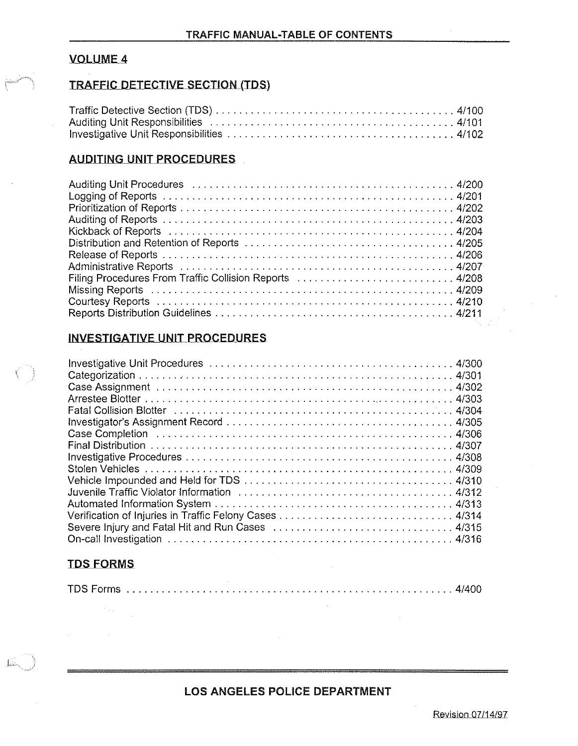#### **VOLUME 4**

#### TRAFFIC DETECTIVE SECTION (TDS)

# **AUDITING UNIT PROCEDURES**

| Filing Procedures From Traffic Collision Reports  4/208 |
|---------------------------------------------------------|
|                                                         |
|                                                         |
|                                                         |

#### INVESTIGATIVE UNiT PROCEDURES

# **TDS FORMS**

|--|--|--|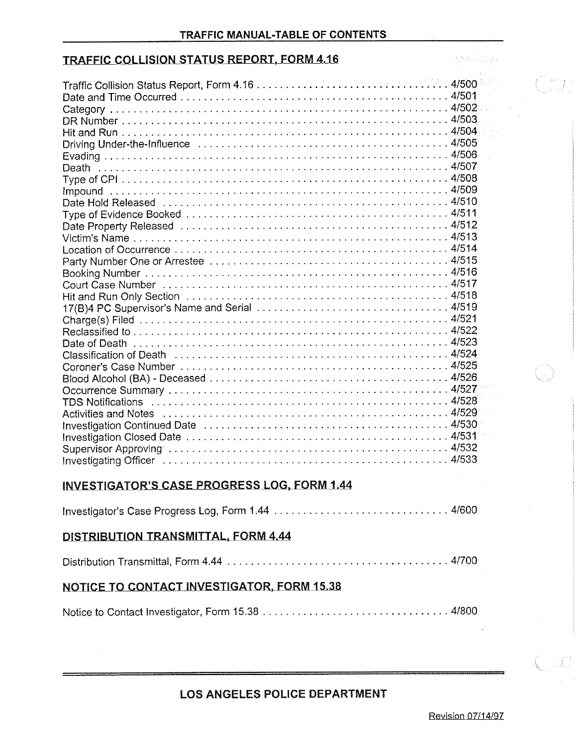#### **TRAFFIC COLLISION STATUS REPORT, FORM 4.16**

| Death                                      |
|--------------------------------------------|
|                                            |
|                                            |
|                                            |
|                                            |
|                                            |
|                                            |
|                                            |
|                                            |
|                                            |
|                                            |
|                                            |
|                                            |
|                                            |
|                                            |
|                                            |
|                                            |
|                                            |
|                                            |
|                                            |
|                                            |
|                                            |
|                                            |
|                                            |
|                                            |
| INVESTICATORIS CASE DROGRESS LOG EORM 1 AA |
|                                            |

#### <u>INVESTIGATOR'S CASE PROGRESS LOG, FORM 1.44</u>

#### DISTRIBUTION TRANSMITTAL, FORM 4.44

#### NOTICE TO CONTACT INVESTIGATOR, FORM 15.38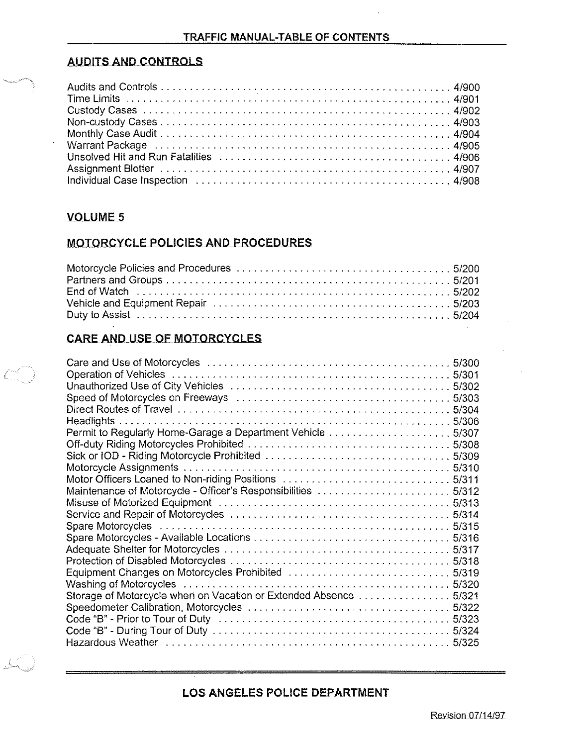#### AUDITS AND CONTROLS

#### **VOLUME 5**

,.. ,...

.t

#### MOTORCYCLE POLICIES AND PROCEDURES

#### CARE AND USE OF MOTQRCYCLES

| Permit to Regularly Home-Garage a Department Vehicle 5/307       |  |
|------------------------------------------------------------------|--|
|                                                                  |  |
|                                                                  |  |
|                                                                  |  |
| Motor Officers Loaned to Non-riding Positions 5/311              |  |
| Maintenance of Motorcycle - Officer's Responsibilities 5/312     |  |
|                                                                  |  |
|                                                                  |  |
|                                                                  |  |
|                                                                  |  |
|                                                                  |  |
|                                                                  |  |
|                                                                  |  |
|                                                                  |  |
| Storage of Motorcycle when on Vacation or Extended Absence 5/321 |  |
|                                                                  |  |
|                                                                  |  |
|                                                                  |  |
|                                                                  |  |
|                                                                  |  |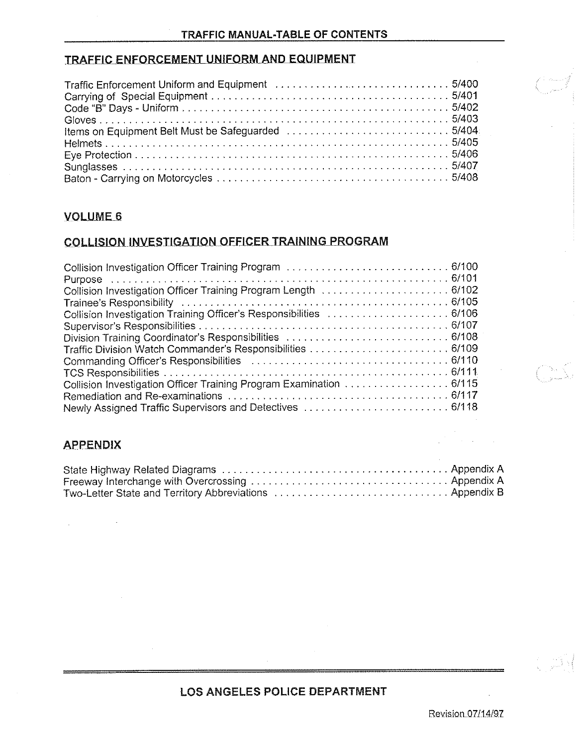# TRAFFIC ENFORCEMENT UNIFORM AND EQUIPMENT

#### **VOLUME 6**

# **COLLISION INVESTIGATION OFFICER TRAINING PROGRAM**

| Collision Investigation Officer Training Program Length  6/102      |  |
|---------------------------------------------------------------------|--|
|                                                                     |  |
| Collision Investigation Training Officer's Responsibilities  6/106  |  |
|                                                                     |  |
|                                                                     |  |
| Traffic Division Watch Commander's Responsibilities 6/109           |  |
|                                                                     |  |
|                                                                     |  |
| Collision Investigation Officer Training Program Examination  6/115 |  |
|                                                                     |  |
|                                                                     |  |

#### **APPENDIX**